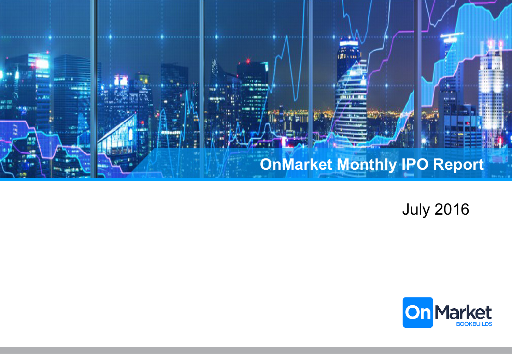

July 2016

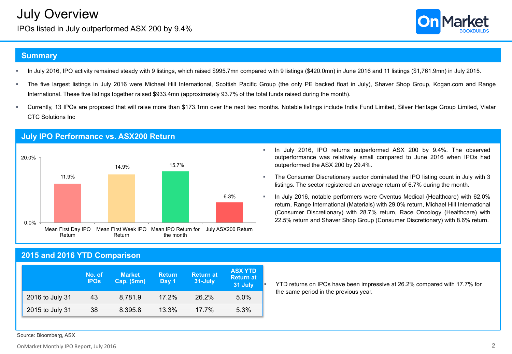IPOs listed in July outperformed ASX 200 by 9.4%



### **Summary**

- In July 2016, IPO activity remained steady with 9 listings, which raised \$995.7mn compared with 9 listings (\$420.0mn) in June 2016 and 11 listings (\$1,761.9mn) in July 2015.
- The five largest listings in July 2016 were Michael Hill International, Scottish Pacific Group (the only PE backed float in July), Shaver Shop Group, Kogan.com and Range International. These five listings together raised \$933.4mn (approximately 93.7% of the total funds raised during the month).
- § Currently, 13 IPOs are proposed that will raise more than \$173.1mn over the next two months. Notable listings include India Fund Limited, Silver Heritage Group Limited, Viatar CTC Solutions Inc



#### **July IPO Performance vs. ASX200 Return**

- § In July 2016, IPO returns outperformed ASX 200 by 9.4%. The observed outperformance was relatively small compared to June 2016 when IPOs had outperformed the ASX 200 by 29.4%.
- § The Consumer Discretionary sector dominated the IPO listing count in July with 3 listings. The sector registered an average return of 6.7% during the month.
- § In July 2016, notable performers were Oventus Medical (Healthcare) with 62.0% return, Range International (Materials) with 29.0% return, Michael Hill International (Consumer Discretionary) with 28.7% return, Race Oncology (Healthcare) with 22.5% return and Shaver Shop Group (Consumer Discretionary) with 8.6% return.

## **2015 and 2016 YTD Comparison**

|                 | No. of<br><b>IPOs</b> | <b>Market</b><br>Cap. (\$mn) | <b>Return</b><br>Day 1 | <b>Return at</b><br>31-July | <b>ASX YTD</b><br><b>Return at</b><br>31 July |
|-----------------|-----------------------|------------------------------|------------------------|-----------------------------|-----------------------------------------------|
| 2016 to July 31 | 43                    | 8.781.9                      | $17.2\%$               | 26.2%                       | 5.0%                                          |
| 2015 to July 31 | 38                    | 8.395.8                      | 13.3%                  | $17.7\%$                    | 5.3%                                          |

§ YTD returns on IPOs have been impressive at 26.2% compared with 17.7% for the same period in the previous year.

Source: Bloomberg, ASX